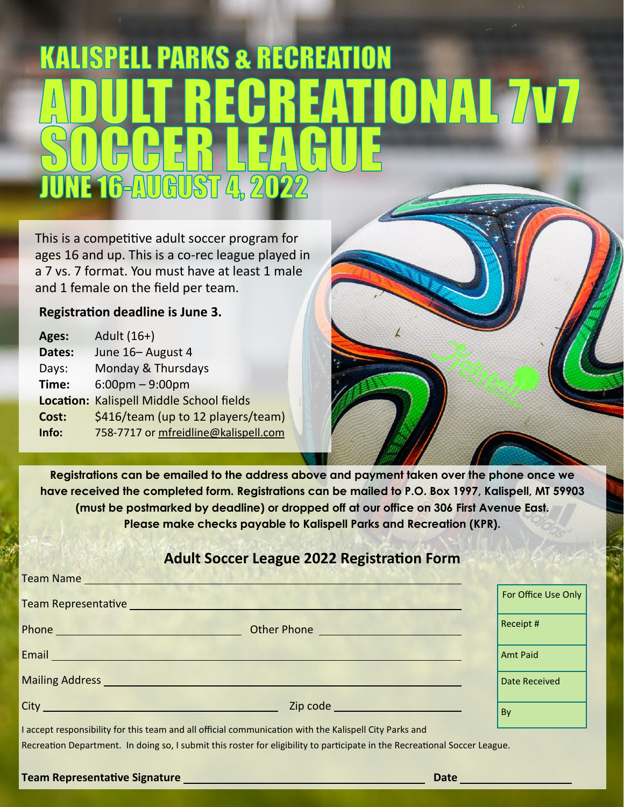# **KALISPELL PARKS & RECREATION** EATIONAL 7V7 NE 16-AUGUST 4, 2022

This is a competitive adult soccer program for ages 16 and up. This is a co-rec league played in a 7 vs. 7 format. You must have at least 1 male and 1 female on the field per team.

#### **Registration deadline is June 3.**

۱

| Ages:  | Adult (16+)                                     |
|--------|-------------------------------------------------|
| Dates: | June 16- August 4                               |
| Days:  | Monday & Thursdays                              |
| Time:  | $6:00 \text{pm} - 9:00 \text{pm}$               |
|        | <b>Location: Kalispell Middle School fields</b> |
| Cost:  | \$416/team (up to 12 players/team)              |
| Info:  | 758-7717 or mfreidline@kalispell.com            |

**Registrations can be emailed to the address above and payment taken over the phone once we have received the completed form. Registrations can be mailed to P.O. Box 1997, Kalispell, MT 59903 (must be postmarked by deadline) or dropped off at our office on 306 First Avenue East. Please make checks payable to Kalispell Parks and Recreation (KPR).** 

## **Adult Soccer League 2022 Registration Form**

| Team Name                                                                                                                                                                                                                            |                                  |                      |
|--------------------------------------------------------------------------------------------------------------------------------------------------------------------------------------------------------------------------------------|----------------------------------|----------------------|
| Team Representative New York Change and Change and Change and Change and Change and Change and Change and Change and Change and Change and Change and Change and Change and Change and Change and Change and Change and Change       |                                  | For Office Use Only  |
| Phone <b>Phone Phone Phone Phone Phone</b>                                                                                                                                                                                           | Other Phone <u>Communication</u> | Receipt #            |
| Email <b>Experimental Contract of Contract Contract Contract Contract Contract Contract Contract Contract Contract Contract Contract Contract Contract Contract Contract Contract Contract Contract Contract Contract Contract C</b> |                                  | Amt Paid             |
| Mailing Address and the contract of the contract of the contract of the contract of the contract of the contract of                                                                                                                  |                                  | <b>Date Received</b> |
| City <u>City City Communication</u>                                                                                                                                                                                                  |                                  | By                   |
|                                                                                                                                                                                                                                      |                                  |                      |

I accept responsibility for this team and all official communication with the Kalispell City Parks and Recreation Department. In doing so, I submit this roster for eligibility to participate in the Recreational Soccer League.